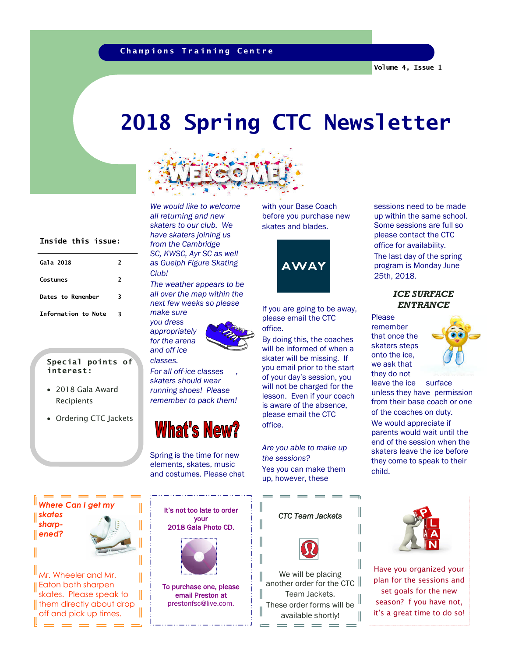### **Champions Training Centre**

# *2018 Spring CTC Newsletter*



### **Inside this issue:**

| Gala 2018           | $\overline{\phantom{a}}$ |
|---------------------|--------------------------|
| Costumes            | 2                        |
| Dates to Remember   | 3                        |
| Information to Note | ર                        |

#### **Special points of interest:**

- 2018 Gala Award Recipients
- Ordering CTC Jackets

*We would like to welcome all returning and new skaters to our club. We have skaters joining us from the Cambridge SC, KWSC, Ayr SC as well as Guelph Figure Skating Club!*

*The weather appears to be all over the map within the next few weeks so please make sure*

*you dress appropriately for the arena and off ice*



*classes.*

*For all off-ice classes , skaters should wear running shoes! Please remember to pack them!*



Spring is the time for new elements, skates, music and costumes. Please chat with your Base Coach before you purchase new skates and blades.



If you are going to be away, please email the CTC office.

By doing this, the coaches will be informed of when a skater will be missing. If you email prior to the start of your day's session, you will not be charged for the lesson. Even if your coach is aware of the absence, please email the CTC office.

*Are you able to make up the sessions?* Yes you can make them up, however, these

I

 $\parallel$ 

I

I

Ш

 $\sim$ 

up within the same school. Some sessions are full so please contact the CTC office for availability. The last day of the spring program is Monday June 25th, 2018.

sessions need to be made

*ICE SURFACE ENTRANCE*

Please remember that once the skaters steps onto the ice, we ask that they do not



leave the ice surface unless they have permission from their base coach or one of the coaches on duty.

We would appreciate if parents would wait until the end of the session when the skaters leave the ice before they come to speak to their child.

**Where Can I get m** *skates sharpened?*

Mr. Wheeler and Mr. Eaton both sharpen skates. Please speak to Ithem directly about drop off and pick up times.

I

I



To purchase one, please email Preston at prestonfsc@live.com.



another order for the CTC Team Jackets. These order forms will be available shortly!

the company of the company of the company of the company of the company of the company of the company of the company of the company of the company of the company of the company of the company of the company of the company



Have you organized your plan for the sessions and set goals for the new season? f you have not, it's a great time to do so!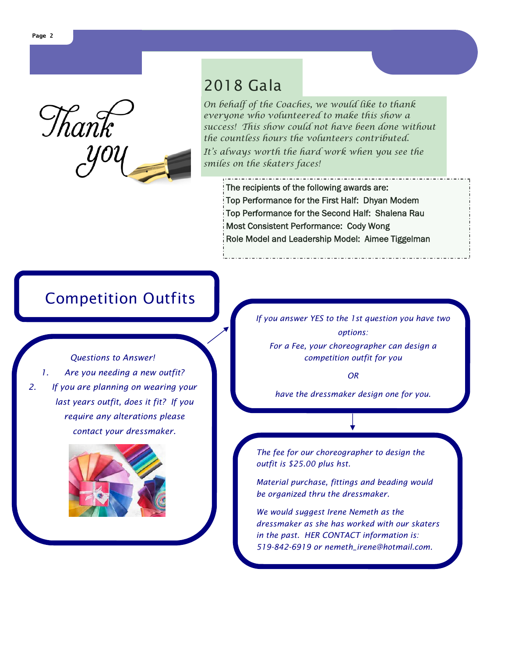

## *2018 Gala*

On behalf of the Coaches, we would like to thank everyone who volunteered to make this show a success! This show could not have been done without the countless hours the volunteers contributed.

It's always worth the hard work when you see the smiles on the skaters faces!

The recipients of the following awards are: Top Performance for the First Half: Dhyan Modem Top Performance for the Second Half: Shalena Rau Most Consistent Performance: Cody Wong Role Model and Leadership Model: Aimee Tiggelman

# *Competition Outfits*

*Questions to Answer! 1. Are you needing a new outfit? 2. If you are planning on wearing your last years outfit, does it fit? If you require any alterations please contact your dressmaker.*



*If you answer YES to the 1st question you have two options: For a Fee, your choreographer can design a competition outfit for you*

*OR*

*have the dressmaker design one for you.*

*The fee for our choreographer to design the outfit is \$25.00 plus hst.*

*Material purchase, fittings and beading would be organized thru the dressmaker.*

*We would suggest Irene Nemeth as the dressmaker as she has worked with our skaters in the past. HER CONTACT information is: 519-842-6919 or nemeth\_irene@hotmail.com.*